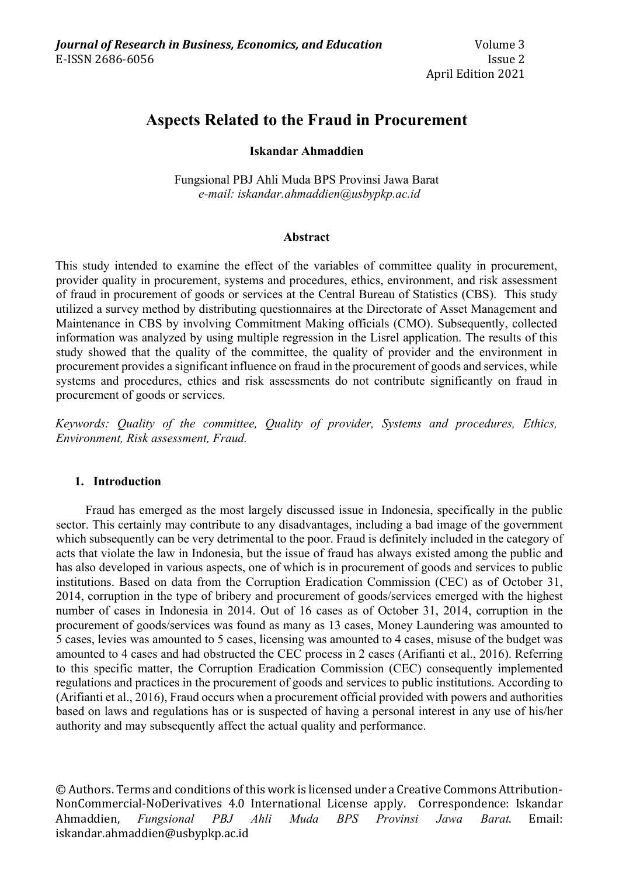# **Aspects Related to the Fraud in Procurement**

# **Iskandar Ahmaddien**

Fungsional PBJ Ahli Muda BPS Provinsi Jawa Barat *e-mail: iskandar.ahmaddien@usbypkp.ac.id*

### **Abstract**

This study intended to examine the effect of the variables of committee quality in procurement, provider quality in procurement, systems and procedures, ethics, environment, and risk assessment of fraud in procurement of goods or services at the Central Bureau of Statistics (CBS). This study utilized a survey method by distributing questionnaires at the Directorate of Asset Management and Maintenance in CBS by involving Commitment Making officials (CMO). Subsequently, collected information was analyzed by using multiple regression in the Lisrel application. The results of this study showed that the quality of the committee, the quality of provider and the environment in procurement provides a significant influence on fraud in the procurement of goods and services, while systems and procedures, ethics and risk assessments do not contribute significantly on fraud in procurement of goods or services.

*Keywords: Quality of the committee, Quality of provider, Systems and procedures, Ethics, Environment, Risk assessment, Fraud.*

### **1. Introduction**

Fraud has emerged as the most largely discussed issue in Indonesia, specifically in the public sector. This certainly may contribute to any disadvantages, including a bad image of the government which subsequently can be very detrimental to the poor. Fraud is definitely included in the category of acts that violate the law in Indonesia, but the issue of fraud has always existed among the public and has also developed in various aspects, one of which is in procurement of goods and services to public institutions. Based on data from the Corruption Eradication Commission (CEC) as of October 31, 2014, corruption in the type of bribery and procurement of goods/services emerged with the highest number of cases in Indonesia in 2014. Out of 16 cases as of October 31, 2014, corruption in the procurement of goods/services was found as many as 13 cases, Money Laundering was amounted to 5 cases, levies was amounted to 5 cases, licensing was amounted to 4 cases, misuse of the budget was amounted to 4 cases and had obstructed the CEC process in 2 cases (Arifianti et al., 2016). Referring to this specific matter, the Corruption Eradication Commission (CEC) consequently implemented regulations and practices in the procurement of goods and services to public institutions. According to (Arifianti et al., 2016), Fraud occurs when a procurement official provided with powers and authorities based on laws and regulations has or is suspected of having a personal interest in any use of his/her authority and may subsequently affect the actual quality and performance.

© Authors. Terms and conditions of this work is licensed under a Creative Commons Attribution-NonCommercial-NoDerivatives 4.0 International License apply. Correspondence: Iskandar Ahmaddien, *Fungsional PBJ Ahli Muda BPS Provinsi Jawa Barat*. Email: iskandar.ahmaddien@usbypkp.ac.id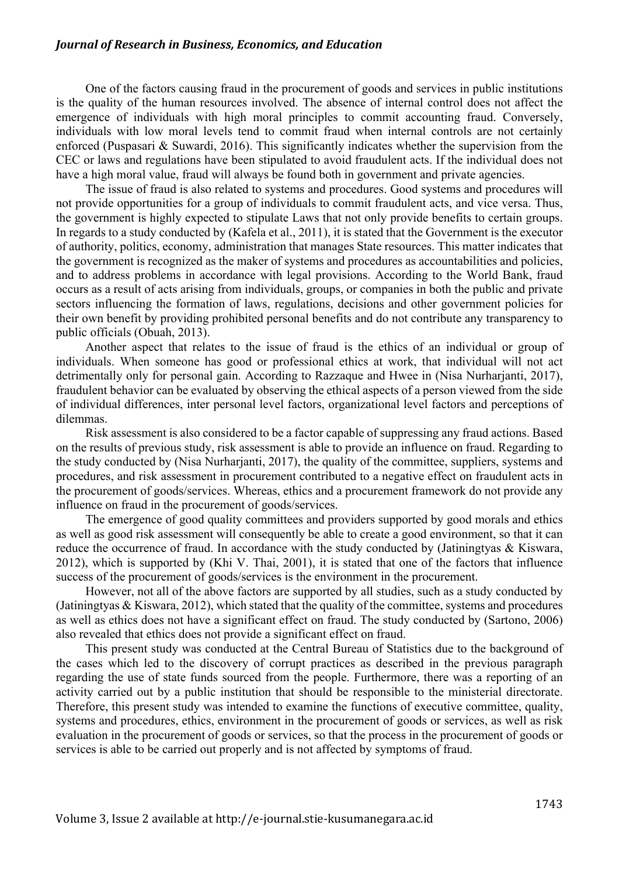#### *Journal of Research in Business, Economics, and Education*

One of the factors causing fraud in the procurement of goods and services in public institutions is the quality of the human resources involved. The absence of internal control does not affect the emergence of individuals with high moral principles to commit accounting fraud. Conversely, individuals with low moral levels tend to commit fraud when internal controls are not certainly enforced (Puspasari & Suwardi, 2016). This significantly indicates whether the supervision from the CEC or laws and regulations have been stipulated to avoid fraudulent acts. If the individual does not have a high moral value, fraud will always be found both in government and private agencies.

The issue of fraud is also related to systems and procedures. Good systems and procedures will not provide opportunities for a group of individuals to commit fraudulent acts, and vice versa. Thus, the government is highly expected to stipulate Laws that not only provide benefits to certain groups. In regards to a study conducted by (Kafela et al., 2011), it is stated that the Government is the executor of authority, politics, economy, administration that manages State resources. This matter indicates that the government is recognized as the maker of systems and procedures as accountabilities and policies, and to address problems in accordance with legal provisions. According to the World Bank, fraud occurs as a result of acts arising from individuals, groups, or companies in both the public and private sectors influencing the formation of laws, regulations, decisions and other government policies for their own benefit by providing prohibited personal benefits and do not contribute any transparency to public officials (Obuah, 2013).

Another aspect that relates to the issue of fraud is the ethics of an individual or group of individuals. When someone has good or professional ethics at work, that individual will not act detrimentally only for personal gain. According to Razzaque and Hwee in (Nisa Nurharjanti, 2017), fraudulent behavior can be evaluated by observing the ethical aspects of a person viewed from the side of individual differences, inter personal level factors, organizational level factors and perceptions of dilemmas.

Risk assessment is also considered to be a factor capable of suppressing any fraud actions. Based on the results of previous study, risk assessment is able to provide an influence on fraud. Regarding to the study conducted by (Nisa Nurharjanti, 2017), the quality of the committee, suppliers, systems and procedures, and risk assessment in procurement contributed to a negative effect on fraudulent acts in the procurement of goods/services. Whereas, ethics and a procurement framework do not provide any influence on fraud in the procurement of goods/services.

The emergence of good quality committees and providers supported by good morals and ethics as well as good risk assessment will consequently be able to create a good environment, so that it can reduce the occurrence of fraud. In accordance with the study conducted by (Jatiningtyas & Kiswara, 2012), which is supported by (Khi V. Thai, 2001), it is stated that one of the factors that influence success of the procurement of goods/services is the environment in the procurement.

However, not all of the above factors are supported by all studies, such as a study conducted by (Jatiningtyas & Kiswara, 2012), which stated that the quality of the committee, systems and procedures as well as ethics does not have a significant effect on fraud. The study conducted by (Sartono, 2006) also revealed that ethics does not provide a significant effect on fraud.

This present study was conducted at the Central Bureau of Statistics due to the background of the cases which led to the discovery of corrupt practices as described in the previous paragraph regarding the use of state funds sourced from the people. Furthermore, there was a reporting of an activity carried out by a public institution that should be responsible to the ministerial directorate. Therefore, this present study was intended to examine the functions of executive committee, quality, systems and procedures, ethics, environment in the procurement of goods or services, as well as risk evaluation in the procurement of goods or services, so that the process in the procurement of goods or services is able to be carried out properly and is not affected by symptoms of fraud.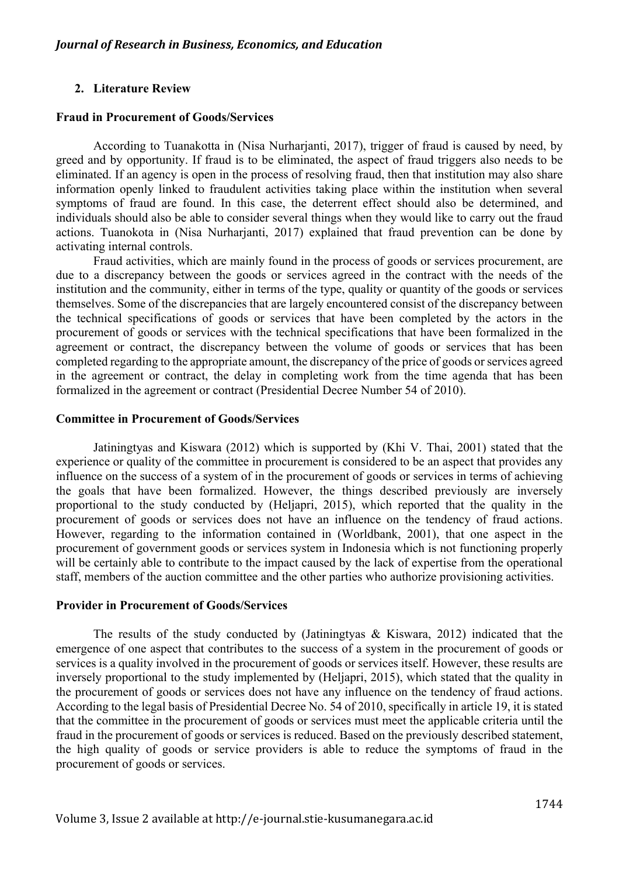### **2. Literature Review**

#### **Fraud in Procurement of Goods/Services**

According to Tuanakotta in (Nisa Nurharjanti, 2017), trigger of fraud is caused by need, by greed and by opportunity. If fraud is to be eliminated, the aspect of fraud triggers also needs to be eliminated. If an agency is open in the process of resolving fraud, then that institution may also share information openly linked to fraudulent activities taking place within the institution when several symptoms of fraud are found. In this case, the deterrent effect should also be determined, and individuals should also be able to consider several things when they would like to carry out the fraud actions. Tuanokota in (Nisa Nurharjanti, 2017) explained that fraud prevention can be done by activating internal controls.

Fraud activities, which are mainly found in the process of goods or services procurement, are due to a discrepancy between the goods or services agreed in the contract with the needs of the institution and the community, either in terms of the type, quality or quantity of the goods or services themselves. Some of the discrepancies that are largely encountered consist of the discrepancy between the technical specifications of goods or services that have been completed by the actors in the procurement of goods or services with the technical specifications that have been formalized in the agreement or contract, the discrepancy between the volume of goods or services that has been completed regarding to the appropriate amount, the discrepancy of the price of goods or services agreed in the agreement or contract, the delay in completing work from the time agenda that has been formalized in the agreement or contract (Presidential Decree Number 54 of 2010).

### **Committee in Procurement of Goods/Services**

Jatiningtyas and Kiswara (2012) which is supported by (Khi V. Thai, 2001) stated that the experience or quality of the committee in procurement is considered to be an aspect that provides any influence on the success of a system of in the procurement of goods or services in terms of achieving the goals that have been formalized. However, the things described previously are inversely proportional to the study conducted by (Heljapri, 2015), which reported that the quality in the procurement of goods or services does not have an influence on the tendency of fraud actions. However, regarding to the information contained in (Worldbank, 2001), that one aspect in the procurement of government goods or services system in Indonesia which is not functioning properly will be certainly able to contribute to the impact caused by the lack of expertise from the operational staff, members of the auction committee and the other parties who authorize provisioning activities.

#### **Provider in Procurement of Goods/Services**

The results of the study conducted by (Jatiningtyas & Kiswara, 2012) indicated that the emergence of one aspect that contributes to the success of a system in the procurement of goods or services is a quality involved in the procurement of goods or services itself. However, these results are inversely proportional to the study implemented by (Heljapri, 2015), which stated that the quality in the procurement of goods or services does not have any influence on the tendency of fraud actions. According to the legal basis of Presidential Decree No. 54 of 2010, specifically in article 19, it is stated that the committee in the procurement of goods or services must meet the applicable criteria until the fraud in the procurement of goods or services is reduced. Based on the previously described statement, the high quality of goods or service providers is able to reduce the symptoms of fraud in the procurement of goods or services.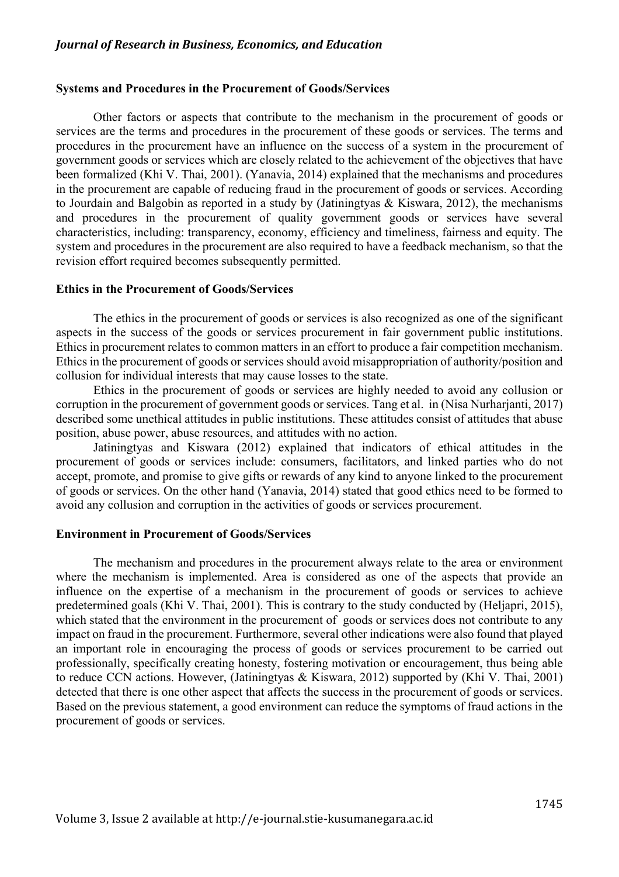### *Journal of Research in Business, Economics, and Education*

### **Systems and Procedures in the Procurement of Goods/Services**

Other factors or aspects that contribute to the mechanism in the procurement of goods or services are the terms and procedures in the procurement of these goods or services. The terms and procedures in the procurement have an influence on the success of a system in the procurement of government goods or services which are closely related to the achievement of the objectives that have been formalized (Khi V. Thai, 2001). (Yanavia, 2014) explained that the mechanisms and procedures in the procurement are capable of reducing fraud in the procurement of goods or services. According to Jourdain and Balgobin as reported in a study by (Jatiningtyas & Kiswara, 2012), the mechanisms and procedures in the procurement of quality government goods or services have several characteristics, including: transparency, economy, efficiency and timeliness, fairness and equity. The system and procedures in the procurement are also required to have a feedback mechanism, so that the revision effort required becomes subsequently permitted.

#### **Ethics in the Procurement of Goods/Services**

The ethics in the procurement of goods or services is also recognized as one of the significant aspects in the success of the goods or services procurement in fair government public institutions. Ethics in procurement relates to common matters in an effort to produce a fair competition mechanism. Ethics in the procurement of goods or services should avoid misappropriation of authority/position and collusion for individual interests that may cause losses to the state.

Ethics in the procurement of goods or services are highly needed to avoid any collusion or corruption in the procurement of government goods or services. Tang et al. in (Nisa Nurharjanti, 2017) described some unethical attitudes in public institutions. These attitudes consist of attitudes that abuse position, abuse power, abuse resources, and attitudes with no action.

Jatiningtyas and Kiswara (2012) explained that indicators of ethical attitudes in the procurement of goods or services include: consumers, facilitators, and linked parties who do not accept, promote, and promise to give gifts or rewards of any kind to anyone linked to the procurement of goods or services. On the other hand (Yanavia, 2014) stated that good ethics need to be formed to avoid any collusion and corruption in the activities of goods or services procurement.

### **Environment in Procurement of Goods/Services**

The mechanism and procedures in the procurement always relate to the area or environment where the mechanism is implemented. Area is considered as one of the aspects that provide an influence on the expertise of a mechanism in the procurement of goods or services to achieve predetermined goals (Khi V. Thai, 2001). This is contrary to the study conducted by (Heljapri, 2015), which stated that the environment in the procurement of goods or services does not contribute to any impact on fraud in the procurement. Furthermore, several other indications were also found that played an important role in encouraging the process of goods or services procurement to be carried out professionally, specifically creating honesty, fostering motivation or encouragement, thus being able to reduce CCN actions. However, (Jatiningtyas & Kiswara, 2012) supported by (Khi V. Thai, 2001) detected that there is one other aspect that affects the success in the procurement of goods or services. Based on the previous statement, a good environment can reduce the symptoms of fraud actions in the procurement of goods or services.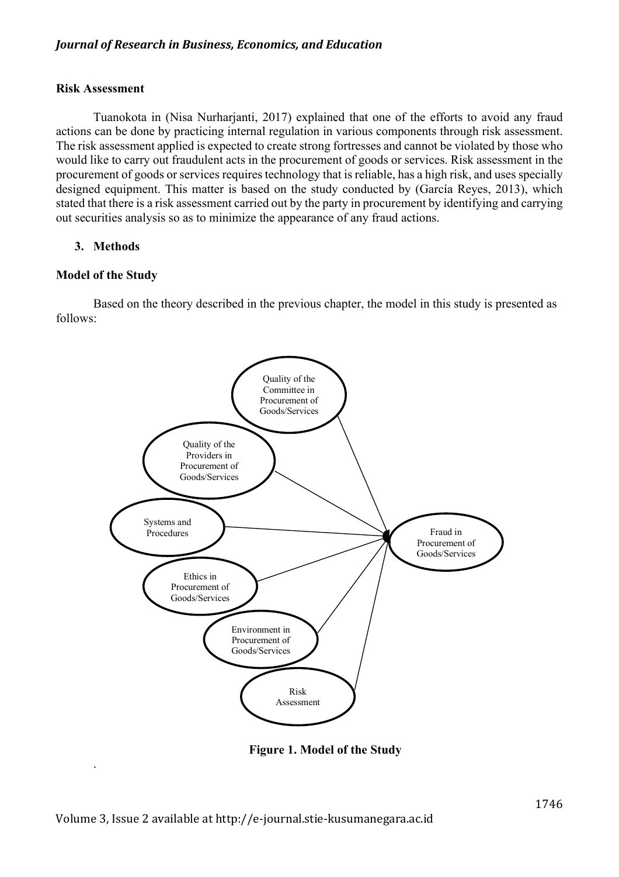# **Risk Assessment**

Tuanokota in (Nisa Nurharjanti, 2017) explained that one of the efforts to avoid any fraud actions can be done by practicing internal regulation in various components through risk assessment. The risk assessment applied is expected to create strong fortresses and cannot be violated by those who would like to carry out fraudulent acts in the procurement of goods or services. Risk assessment in the procurement of goods or services requires technology that is reliable, has a high risk, and uses specially designed equipment. This matter is based on the study conducted by (García Reyes, 2013), which stated that there is a risk assessment carried out by the party in procurement by identifying and carrying out securities analysis so as to minimize the appearance of any fraud actions.

# **3. Methods**

# **Model of the Study**

.

Based on the theory described in the previous chapter, the model in this study is presented as follows:



**Figure 1. Model of the Study**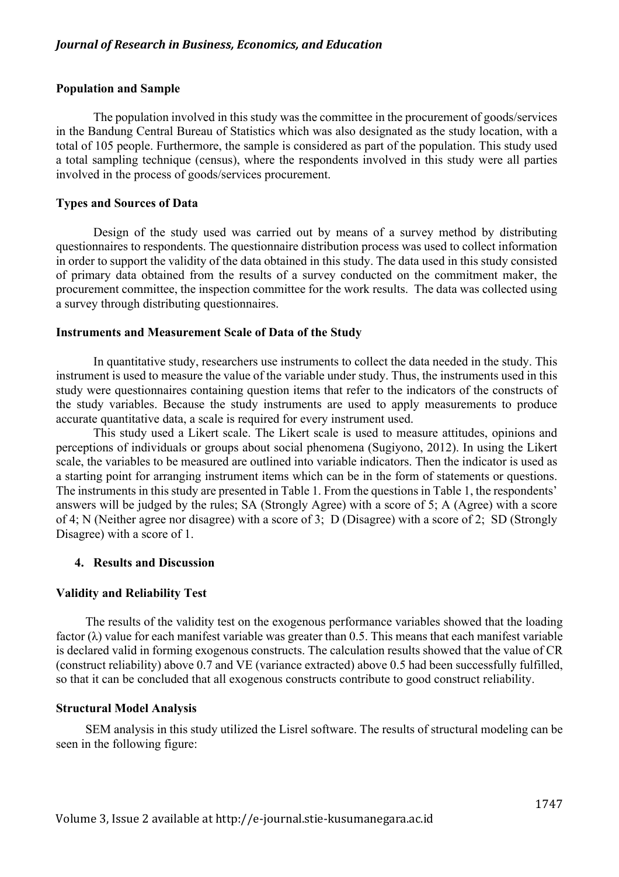### **Population and Sample**

The population involved in this study was the committee in the procurement of goods/services in the Bandung Central Bureau of Statistics which was also designated as the study location, with a total of 105 people. Furthermore, the sample is considered as part of the population. This study used a total sampling technique (census), where the respondents involved in this study were all parties involved in the process of goods/services procurement.

### **Types and Sources of Data**

Design of the study used was carried out by means of a survey method by distributing questionnaires to respondents. The questionnaire distribution process was used to collect information in order to support the validity of the data obtained in this study. The data used in this study consisted of primary data obtained from the results of a survey conducted on the commitment maker, the procurement committee, the inspection committee for the work results. The data was collected using a survey through distributing questionnaires.

### **Instruments and Measurement Scale of Data of the Study**

In quantitative study, researchers use instruments to collect the data needed in the study. This instrument is used to measure the value of the variable under study. Thus, the instruments used in this study were questionnaires containing question items that refer to the indicators of the constructs of the study variables. Because the study instruments are used to apply measurements to produce accurate quantitative data, a scale is required for every instrument used.

This study used a Likert scale. The Likert scale is used to measure attitudes, opinions and perceptions of individuals or groups about social phenomena (Sugiyono, 2012). In using the Likert scale, the variables to be measured are outlined into variable indicators. Then the indicator is used as a starting point for arranging instrument items which can be in the form of statements or questions. The instruments in this study are presented in Table 1. From the questions in Table 1, the respondents' answers will be judged by the rules; SA (Strongly Agree) with a score of 5; A (Agree) with a score of 4; N (Neither agree nor disagree) with a score of 3; D (Disagree) with a score of 2; SD (Strongly Disagree) with a score of 1.

### **4. Results and Discussion**

### **Validity and Reliability Test**

The results of the validity test on the exogenous performance variables showed that the loading factor  $(\lambda)$  value for each manifest variable was greater than 0.5. This means that each manifest variable is declared valid in forming exogenous constructs. The calculation results showed that the value of CR (construct reliability) above 0.7 and VE (variance extracted) above 0.5 had been successfully fulfilled, so that it can be concluded that all exogenous constructs contribute to good construct reliability.

### **Structural Model Analysis**

SEM analysis in this study utilized the Lisrel software. The results of structural modeling can be seen in the following figure: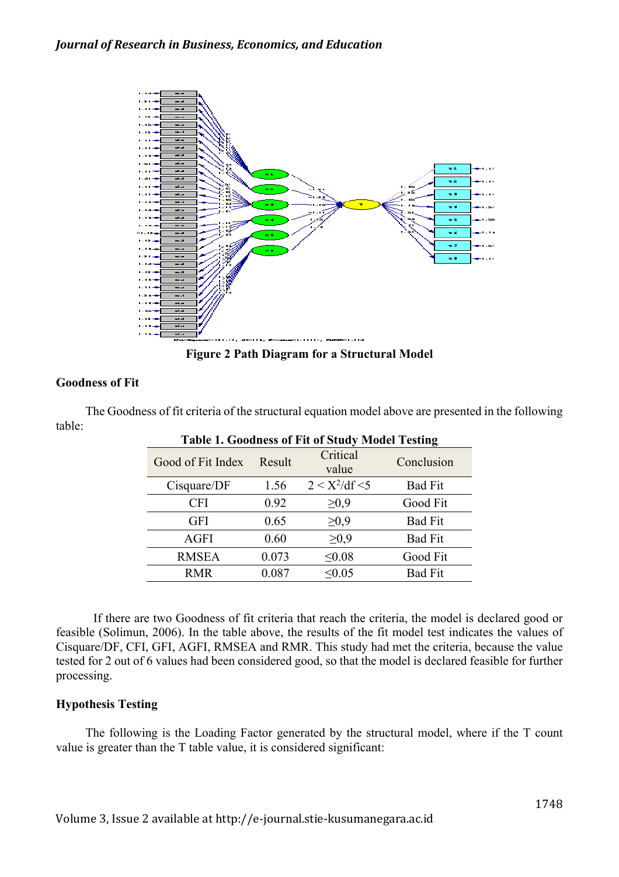

**Figure 2 Path Diagram for a Structural Model**

# **Goodness of Fit**

| <b>Table 1. Goodness of Fit of Study Model Testing</b> |        |                   |                |  |  |  |  |  |  |
|--------------------------------------------------------|--------|-------------------|----------------|--|--|--|--|--|--|
| Good of Fit Index                                      | Result | Critical<br>value | Conclusion     |  |  |  |  |  |  |
| Cisquare/DF                                            | 1.56   | $2 < X^2/df < 5$  | <b>Bad Fit</b> |  |  |  |  |  |  |
| <b>CFI</b>                                             | 0.92   | $\geq 0.9$        | Good Fit       |  |  |  |  |  |  |
| <b>GFI</b>                                             | 0.65   | $\geq 0.9$        | <b>Bad Fit</b> |  |  |  |  |  |  |
| AGFI                                                   | 0.60   | $\geq 0.9$        | <b>Bad Fit</b> |  |  |  |  |  |  |
| <b>RMSEA</b>                                           | 0.073  | $\leq 0.08$       | Good Fit       |  |  |  |  |  |  |
| <b>RMR</b>                                             | 0.087  | < 0.05            | <b>Bad Fit</b> |  |  |  |  |  |  |

The Goodness of fit criteria of the structural equation model above are presented in the following table:

If there are two Goodness of fit criteria that reach the criteria, the model is declared good or feasible (Solimun, 2006). In the table above, the results of the fit model test indicates the values of Cisquare/DF, CFI, GFI, AGFI, RMSEA and RMR. This study had met the criteria, because the value tested for 2 out of 6 values had been considered good, so that the model is declared feasible for further processing.

# **Hypothesis Testing**

The following is the Loading Factor generated by the structural model, where if the T count value is greater than the T table value, it is considered significant: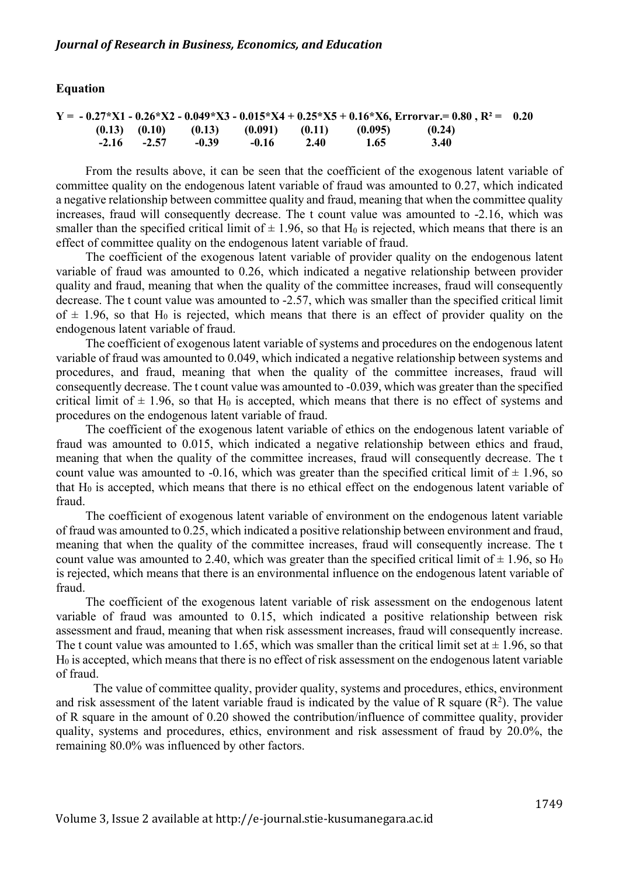### **Equation**

|  |                 |       |         |      |                                                         | $Y = -0.27 * X1 - 0.26 * X2 - 0.049 * X3 - 0.015 * X4 + 0.25 * X5 + 0.16 * X6$ , Errorvar, = 0.80, R <sup>2</sup> = 0.20 |  |
|--|-----------------|-------|---------|------|---------------------------------------------------------|--------------------------------------------------------------------------------------------------------------------------|--|
|  |                 |       |         |      | $(0.13)$ $(0.10)$ $(0.13)$ $(0.091)$ $(0.11)$ $(0.095)$ | (0.24)                                                                                                                   |  |
|  | $-2.16$ $-2.57$ | -0.39 | $-0.16$ | 2.40 | 1.65                                                    | 3.40                                                                                                                     |  |

From the results above, it can be seen that the coefficient of the exogenous latent variable of committee quality on the endogenous latent variable of fraud was amounted to 0.27, which indicated a negative relationship between committee quality and fraud, meaning that when the committee quality increases, fraud will consequently decrease. The t count value was amounted to -2.16, which was smaller than the specified critical limit of  $\pm$  1.96, so that H<sub>0</sub> is rejected, which means that there is an effect of committee quality on the endogenous latent variable of fraud.

The coefficient of the exogenous latent variable of provider quality on the endogenous latent variable of fraud was amounted to 0.26, which indicated a negative relationship between provider quality and fraud, meaning that when the quality of the committee increases, fraud will consequently decrease. The t count value was amounted to -2.57, which was smaller than the specified critical limit of  $\pm$  1.96, so that H<sub>0</sub> is rejected, which means that there is an effect of provider quality on the endogenous latent variable of fraud.

The coefficient of exogenous latent variable of systems and procedures on the endogenous latent variable of fraud was amounted to 0.049, which indicated a negative relationship between systems and procedures, and fraud, meaning that when the quality of the committee increases, fraud will consequently decrease. The t count value was amounted to -0.039, which was greater than the specified critical limit of  $\pm$  1.96, so that H<sub>0</sub> is accepted, which means that there is no effect of systems and procedures on the endogenous latent variable of fraud.

The coefficient of the exogenous latent variable of ethics on the endogenous latent variable of fraud was amounted to 0.015, which indicated a negative relationship between ethics and fraud, meaning that when the quality of the committee increases, fraud will consequently decrease. The t count value was amounted to -0.16, which was greater than the specified critical limit of  $\pm$  1.96, so that  $H_0$  is accepted, which means that there is no ethical effect on the endogenous latent variable of fraud.

The coefficient of exogenous latent variable of environment on the endogenous latent variable of fraud was amounted to 0.25, which indicated a positive relationship between environment and fraud, meaning that when the quality of the committee increases, fraud will consequently increase. The t count value was amounted to 2.40, which was greater than the specified critical limit of  $\pm$  1.96, so H<sub>0</sub> is rejected, which means that there is an environmental influence on the endogenous latent variable of fraud.

The coefficient of the exogenous latent variable of risk assessment on the endogenous latent variable of fraud was amounted to 0.15, which indicated a positive relationship between risk assessment and fraud, meaning that when risk assessment increases, fraud will consequently increase. The t count value was amounted to 1.65, which was smaller than the critical limit set at  $\pm$  1.96, so that H0 is accepted, which means that there is no effect of risk assessment on the endogenous latent variable of fraud.

The value of committee quality, provider quality, systems and procedures, ethics, environment and risk assessment of the latent variable fraud is indicated by the value of R square  $(R^2)$ . The value of R square in the amount of 0.20 showed the contribution/influence of committee quality, provider quality, systems and procedures, ethics, environment and risk assessment of fraud by 20.0%, the remaining 80.0% was influenced by other factors.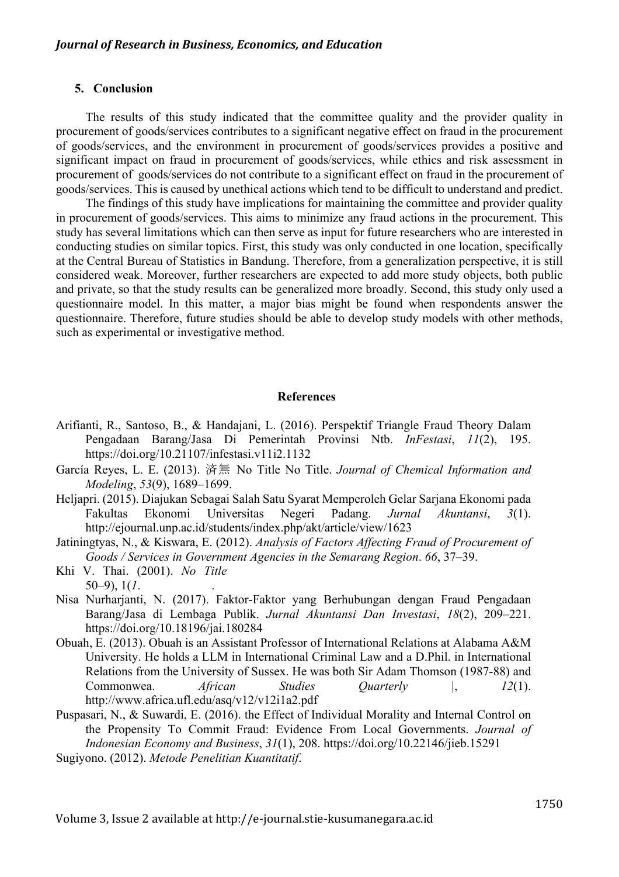### **5. Conclusion**

The results of this study indicated that the committee quality and the provider quality in procurement of goods/services contributes to a significant negative effect on fraud in the procurement of goods/services, and the environment in procurement of goods/services provides a positive and significant impact on fraud in procurement of goods/services, while ethics and risk assessment in procurement of goods/services do not contribute to a significant effect on fraud in the procurement of goods/services. This is caused by unethical actions which tend to be difficult to understand and predict.

The findings of this study have implications for maintaining the committee and provider quality in procurement of goods/services. This aims to minimize any fraud actions in the procurement. This study has several limitations which can then serve as input for future researchers who are interested in conducting studies on similar topics. First, this study was only conducted in one location, specifically at the Central Bureau of Statistics in Bandung. Therefore, from a generalization perspective, it is still considered weak. Moreover, further researchers are expected to add more study objects, both public and private, so that the study results can be generalized more broadly. Second, this study only used a questionnaire model. In this matter, a major bias might be found when respondents answer the questionnaire. Therefore, future studies should be able to develop study models with other methods, such as experimental or investigative method.

#### **References**

- Arifianti, R., Santoso, B., & Handajani, L. (2016). Perspektif Triangle Fraud Theory Dalam Pengadaan Barang/Jasa Di Pemerintah Provinsi Ntb. *InFestasi*, *11*(2), 195. https://doi.org/10.21107/infestasi.v11i2.1132
- García Reyes, L. E. (2013). 済無 No Title No Title. *Journal of Chemical Information and Modeling*, *53*(9), 1689–1699.
- Heljapri. (2015). Diajukan Sebagai Salah Satu Syarat Memperoleh Gelar Sarjana Ekonomi pada Fakultas Ekonomi Universitas Negeri Padang. *Jurnal Akuntansi*, *3*(1). http://ejournal.unp.ac.id/students/index.php/akt/article/view/1623
- Jatiningtyas, N., & Kiswara, E. (2012). *Analysis of Factors Affecting Fraud of Procurement of Goods / Services in Government Agencies in the Semarang Region*. *66*, 37–39.
- Khi V. Thai. (2001). *No Title*  $50-9$ ,  $1(1$ .
- Nisa Nurharjanti, N. (2017). Faktor-Faktor yang Berhubungan dengan Fraud Pengadaan Barang/Jasa di Lembaga Publik. *Jurnal Akuntansi Dan Investasi*, *18*(2), 209–221. https://doi.org/10.18196/jai.180284
- Obuah, E. (2013). Obuah is an Assistant Professor of International Relations at Alabama A&M University. He holds a LLM in International Criminal Law and a D.Phil. in International Relations from the University of Sussex. He was both Sir Adam Thomson (1987-88) and Commonwea. *African Studies Quarterly |*, *12*(1). http://www.africa.ufl.edu/asq/v12/v12i1a2.pdf
- Puspasari, N., & Suwardi, E. (2016). the Effect of Individual Morality and Internal Control on the Propensity To Commit Fraud: Evidence From Local Governments. *Journal of Indonesian Economy and Business*, *31*(1), 208. https://doi.org/10.22146/jieb.15291
- Sugiyono. (2012). *Metode Penelitian Kuantitatif*.